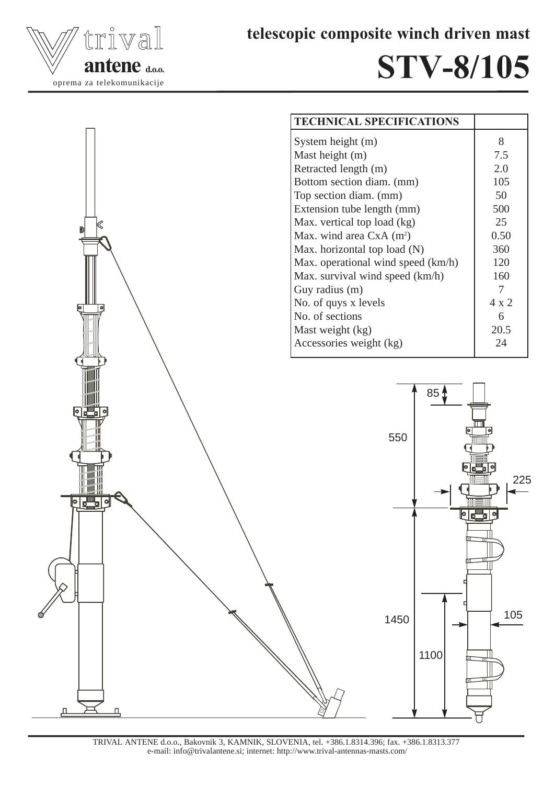



## STV-8/105





TRIVAL ANTENE d.o.o., Bakovnik 3, KAMNIK, SLOVENIA, tel. +386.1.8314.396; fax. +386.1.8313.377 e-mail: info@trivalantene.si; internet: http://www.trival-antennas-masts.com/